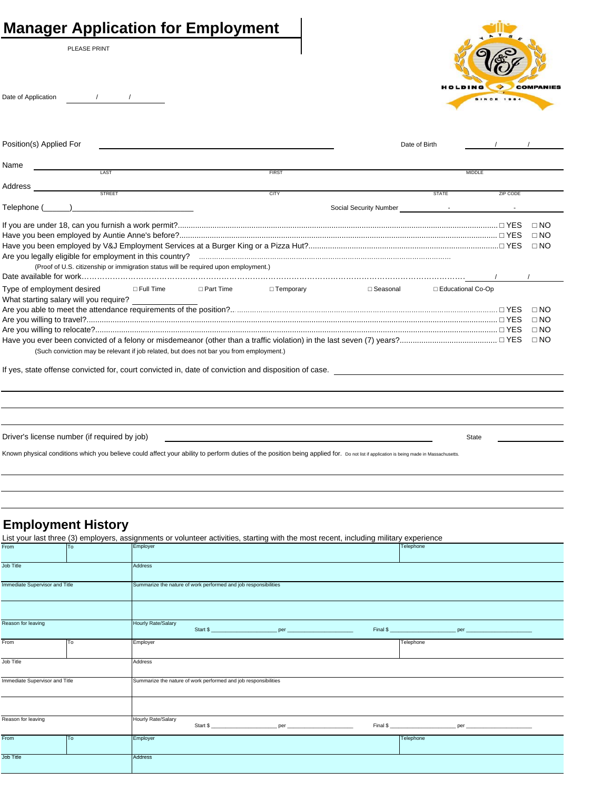|  |  |  |  | <b>Manager Application for Employment</b> |
|--|--|--|--|-------------------------------------------|
|--|--|--|--|-------------------------------------------|

PLEASE PRINT

Date of Application  $/$  /



| Position(s) Applied For                                                                                                                                                               |              | Date of Birth                            |                     |          |           |
|---------------------------------------------------------------------------------------------------------------------------------------------------------------------------------------|--------------|------------------------------------------|---------------------|----------|-----------|
| Name<br>LAST                                                                                                                                                                          | <b>FIRST</b> |                                          | <b>MIDDLE</b>       |          |           |
|                                                                                                                                                                                       |              |                                          |                     |          |           |
| STREET                                                                                                                                                                                | <b>CITY</b>  |                                          | <b>STATE</b>        | ZIP CODE |           |
| $\mathsf{Telephone}\ (\_\_\_\_\_\_\_\_\_\$                                                                                                                                            |              | Social Security Number <b>Figure 1</b> - |                     |          |           |
|                                                                                                                                                                                       |              |                                          |                     |          | $\Box$ NO |
|                                                                                                                                                                                       |              |                                          |                     |          | $\Box$ NO |
|                                                                                                                                                                                       |              |                                          |                     |          | $\Box$ NO |
|                                                                                                                                                                                       |              |                                          |                     |          |           |
| (Proof of U.S. citizenship or immigration status will be required upon employment.)                                                                                                   |              |                                          |                     |          |           |
|                                                                                                                                                                                       |              |                                          |                     |          |           |
| Type of employment desired<br>□ Full Time DPart Time DTemporary                                                                                                                       |              | ⊟ Seasonal                               | □ Educational Co-Op |          |           |
|                                                                                                                                                                                       |              |                                          |                     |          | $\Box$ NO |
|                                                                                                                                                                                       |              |                                          |                     |          | $\Box$ NO |
|                                                                                                                                                                                       |              |                                          |                     |          | $\Box$ NO |
|                                                                                                                                                                                       |              |                                          |                     |          | $\Box$ NO |
| (Such conviction may be relevant if job related, but does not bar you from employment.)                                                                                               |              |                                          |                     |          |           |
| If yes, state offense convicted for, court convicted in, date of conviction and disposition of case.                                                                                  |              |                                          |                     |          |           |
|                                                                                                                                                                                       |              |                                          |                     |          |           |
|                                                                                                                                                                                       |              |                                          |                     |          |           |
| Driver's license number (if required by job)                                                                                                                                          |              |                                          | <b>State</b>        |          |           |
| Known physical conditions which you believe could affect your ability to perform duties of the position being applied for. Do not list if application is being made in Massachusetts. |              |                                          |                     |          |           |
|                                                                                                                                                                                       |              |                                          |                     |          |           |

# **Employment History**

| List your last three (3) employers, assignments or volunteer activities, starting with the most recent, including military experience |    |                                                                 |  |          |  |           |  |  |
|---------------------------------------------------------------------------------------------------------------------------------------|----|-----------------------------------------------------------------|--|----------|--|-----------|--|--|
| From                                                                                                                                  | To | Employer                                                        |  |          |  | Telephone |  |  |
| <b>Job Title</b>                                                                                                                      |    | <b>Address</b>                                                  |  |          |  |           |  |  |
| Immediate Supervisor and Title                                                                                                        |    | Summarize the nature of work performed and job responsibilities |  |          |  |           |  |  |
| Reason for leaving                                                                                                                    |    | Hourly Rate/Salary                                              |  |          |  |           |  |  |
|                                                                                                                                       |    |                                                                 |  |          |  |           |  |  |
| From                                                                                                                                  | To | Employer                                                        |  |          |  | Telephone |  |  |
| Job Title                                                                                                                             |    | Address                                                         |  |          |  |           |  |  |
| Immediate Supervisor and Title                                                                                                        |    | Summarize the nature of work performed and job responsibilities |  |          |  |           |  |  |
| Reason for leaving                                                                                                                    |    | Hourly Rate/Salary                                              |  | Start \$ |  |           |  |  |
| From                                                                                                                                  | To | Employer                                                        |  |          |  | Telephone |  |  |
| <b>Job Title</b>                                                                                                                      |    | <b>Address</b>                                                  |  |          |  |           |  |  |